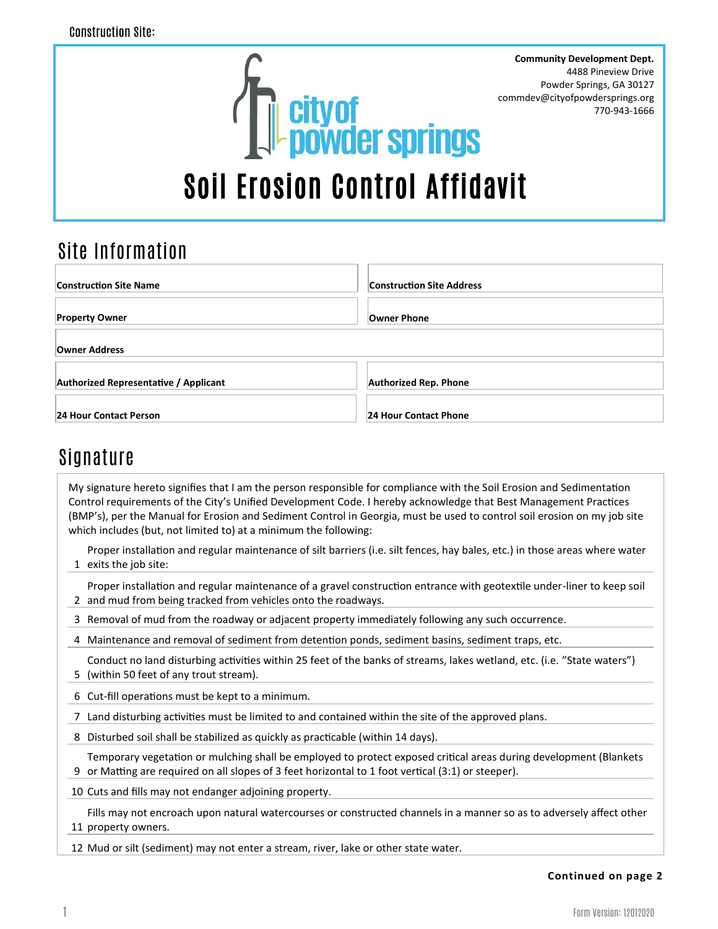

## Site Information

| <b>Construction Site Name</b>                | <b>Construction Site Address</b> |
|----------------------------------------------|----------------------------------|
| <b>Property Owner</b>                        | <b>Owner Phone</b>               |
| Owner Address                                |                                  |
| <b>Authorized Representative / Applicant</b> | <b>Authorized Rep. Phone</b>     |
| 24 Hour Contact Person                       | 24 Hour Contact Phone            |

## Signature

My signature hereto signifies that I am the person responsible for compliance with the Soil Erosion and Sedimentation Control requirements of the City's Unified Development Code. I hereby acknowledge that Best Management Practices (BMP's), per the Manual for Erosion and Sediment Control in Georgia, must be used to control soil erosion on my job site which includes (but, not limited to) at a minimum the following:

1 exits the job site: Proper installation and regular maintenance of silt barriers (i.e. silt fences, hay bales, etc.) in those areas where water

2 and mud from being tracked from vehicles onto the roadways. Proper installation and regular maintenance of a gravel construction entrance with geotextile under-liner to keep soil

- 3 Removal of mud from the roadway or adjacent property immediately following any such occurrence.
- 4 Maintenance and removal of sediment from detention ponds, sediment basins, sediment traps, etc.

5 (within 50 feet of any trout stream). Conduct no land disturbing activities within 25 feet of the banks of streams, lakes wetland, etc. (i.e. "State waters")

- 6 Cut-fill operations must be kept to a minimum.
- 7 Land disturbing activities must be limited to and contained within the site of the approved plans.
- 8 Disturbed soil shall be stabilized as quickly as practicable (within 14 days).

9 or Matting are required on all slopes of 3 feet horizontal to 1 foot vertical (3:1) or steeper). Temporary vegetation or mulching shall be employed to protect exposed critical areas during development (Blankets

10 Cuts and fills may not endanger adjoining property.

11 property owners. Fills may not encroach upon natural watercourses or constructed channels in a manner so as to adversely affect other

12 Mud or silt (sediment) may not enter a stream, river, lake or other state water.

## **Continued on page 2**

4488 Pineview Drive

770-943-1666